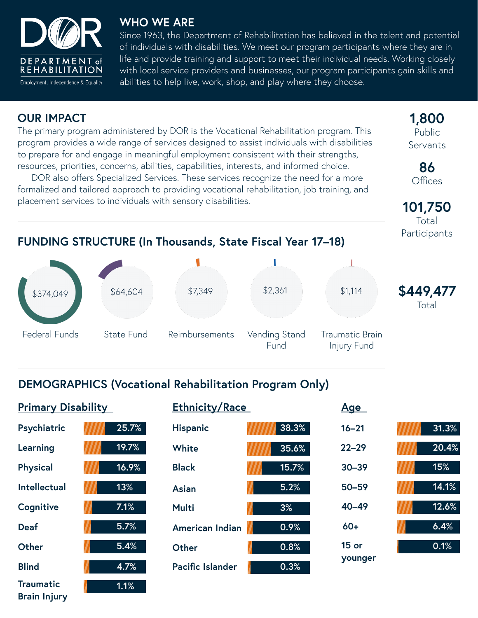

#### **WHO WE ARE**

Since 1963, the Department of Rehabilitation has believed in the talent and potential of individuals with disabilities. We meet our program participants where they are in life and provide training and support to meet their individual needs. Working closely with local service providers and businesses, our program participants gain skills and abilities to help live, work, shop, and play where they choose.

### **OUR IMPACT**

**Brain Injury**

The primary program administered by DOR is the Vocational Rehabilitation program. This program provides a wide range of services designed to assist individuals with disabilities to prepare for and engage in meaningful employment consistent with their strengths, resources, priorities, concerns, abilities, capabilities, interests, and informed choice.

DOR also offers Specialized Services. These services recognize the need for a more formalized and tailored approach to providing vocational rehabilitation, job training, and placement services to individuals with sensory disabilities.

**1,800** Public Servants

> **86 Offices**

**101,750** Total **Participants** 

# **FUNDING STRUCTURE (In Thousands, State Fiscal Year 17–18)**



# **DEMOGRAPHICS (Vocational Rehabilitation Program Only)**

| <b>Primary Disability</b> |  |       | <b>Ethnicity/Race</b>   |  |       | <u>Age</u>         |  |       |
|---------------------------|--|-------|-------------------------|--|-------|--------------------|--|-------|
| Psychiatric               |  | 25.7% | <b>Hispanic</b>         |  | 38.3% | $16 - 21$          |  | 31.3% |
| Learning                  |  | 19.7% | White                   |  | 35.6% | $22 - 29$          |  | 20.4% |
| <b>Physical</b>           |  | 16.9% | <b>Black</b>            |  | 15.7% | $30 - 39$          |  | 15%   |
| <b>Intellectual</b>       |  | 13%   | <b>Asian</b>            |  | 5.2%  | 50-59              |  | 14.1% |
| Cognitive                 |  | 7.1%  | <b>Multi</b>            |  | 3%    | $40 - 49$          |  | 12.6% |
| <b>Deaf</b>               |  | 5.7%  | American Indian         |  | 0.9%  | $60+$              |  | 6.4%  |
| Other                     |  | 5.4%  | Other                   |  | 0.8%  | $15$ or<br>younger |  | 0.1%  |
| <b>Blind</b>              |  | 4.7%  | <b>Pacific Islander</b> |  | 0.3%  |                    |  |       |
| <b>Traumatic</b>          |  | 1.1%  |                         |  |       |                    |  |       |